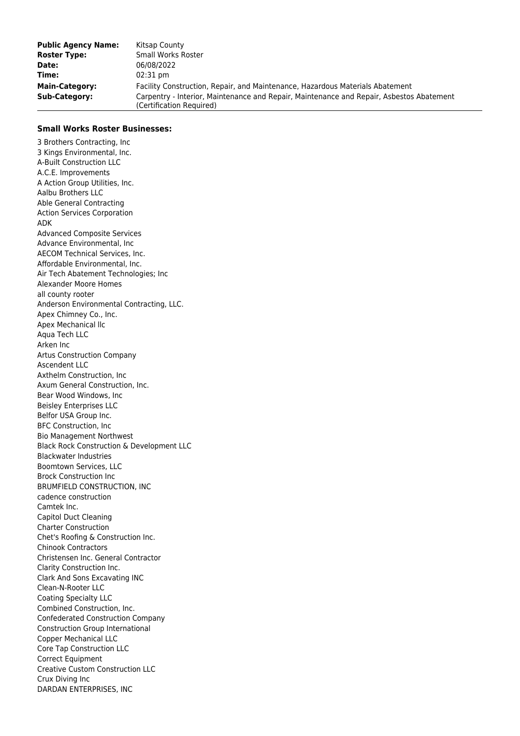| <b>Public Agency Name:</b> | Kitsap County                                                                                                        |
|----------------------------|----------------------------------------------------------------------------------------------------------------------|
| <b>Roster Type:</b>        | Small Works Roster                                                                                                   |
| Date:                      | 06/08/2022                                                                                                           |
| Time:                      | $02:31 \text{ pm}$                                                                                                   |
| <b>Main-Category:</b>      | Facility Construction, Repair, and Maintenance, Hazardous Materials Abatement                                        |
| <b>Sub-Category:</b>       | Carpentry - Interior, Maintenance and Repair, Maintenance and Repair, Asbestos Abatement<br>(Certification Required) |

## **Small Works Roster Businesses:**

3 Brothers Contracting, Inc 3 Kings Environmental, Inc. A-Built Construction LLC A.C.E. Improvements A Action Group Utilities, Inc. Aalbu Brothers LLC Able General Contracting Action Services Corporation ADK Advanced Composite Services Advance Environmental, Inc AECOM Technical Services, Inc. Affordable Environmental, Inc. Air Tech Abatement Technologies; Inc Alexander Moore Homes all county rooter Anderson Environmental Contracting, LLC. Apex Chimney Co., Inc. Apex Mechanical llc Aqua Tech LLC Arken Inc Artus Construction Company Ascendent LLC Axthelm Construction, Inc Axum General Construction, Inc. Bear Wood Windows, Inc Beisley Enterprises LLC Belfor USA Group Inc. BFC Construction, Inc Bio Management Northwest Black Rock Construction & Development LLC Blackwater Industries Boomtown Services, LLC Brock Construction Inc BRUMFIELD CONSTRUCTION, INC cadence construction Camtek Inc. Capitol Duct Cleaning Charter Construction Chet's Roofing & Construction Inc. Chinook Contractors Christensen Inc. General Contractor Clarity Construction Inc. Clark And Sons Excavating INC Clean-N-Rooter LLC Coating Specialty LLC Combined Construction, Inc. Confederated Construction Company Construction Group International Copper Mechanical LLC Core Tap Construction LLC Correct Equipment Creative Custom Construction LLC Crux Diving Inc DARDAN ENTERPRISES, INC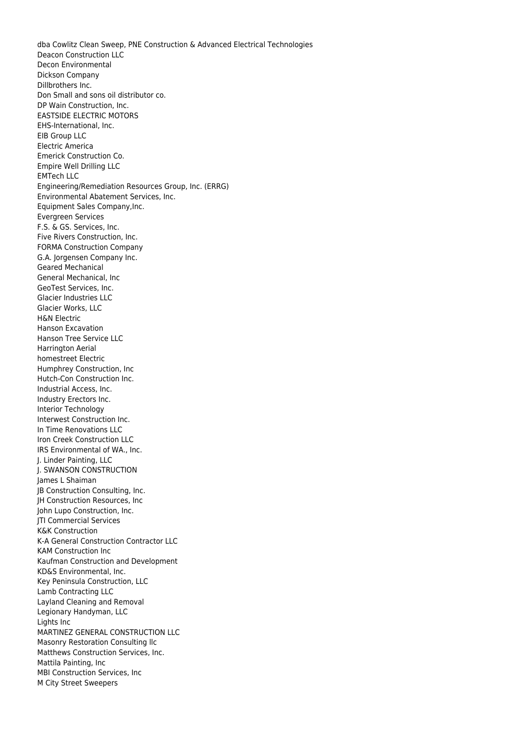dba Cowlitz Clean Sweep, PNE Construction & Advanced Electrical Technologies Deacon Construction LLC Decon Environmental Dickson Company Dillbrothers Inc. Don Small and sons oil distributor co. DP Wain Construction, Inc. EASTSIDE ELECTRIC MOTORS EHS-International, Inc. EIB Group LLC Electric America Emerick Construction Co. Empire Well Drilling LLC EMTech LLC Engineering/Remediation Resources Group, Inc. (ERRG) Environmental Abatement Services, Inc. Equipment Sales Company,Inc. Evergreen Services F.S. & GS. Services, Inc. Five Rivers Construction, Inc. FORMA Construction Company G.A. Jorgensen Company Inc. Geared Mechanical General Mechanical, Inc GeoTest Services, Inc. Glacier Industries LLC Glacier Works, LLC H&N Electric Hanson Excavation Hanson Tree Service LLC Harrington Aerial homestreet Electric Humphrey Construction, Inc Hutch-Con Construction Inc. Industrial Access, Inc. Industry Erectors Inc. Interior Technology Interwest Construction Inc. In Time Renovations LLC Iron Creek Construction LLC IRS Environmental of WA., Inc. J. Linder Painting, LLC J. SWANSON CONSTRUCTION James L Shaiman JB Construction Consulting, Inc. JH Construction Resources, Inc John Lupo Construction, Inc. JTI Commercial Services K&K Construction K-A General Construction Contractor LLC KAM Construction Inc Kaufman Construction and Development KD&S Environmental, Inc. Key Peninsula Construction, LLC Lamb Contracting LLC Layland Cleaning and Removal Legionary Handyman, LLC Lights Inc MARTINEZ GENERAL CONSTRUCTION LLC Masonry Restoration Consulting llc Matthews Construction Services, Inc. Mattila Painting, Inc MBI Construction Services, Inc M City Street Sweepers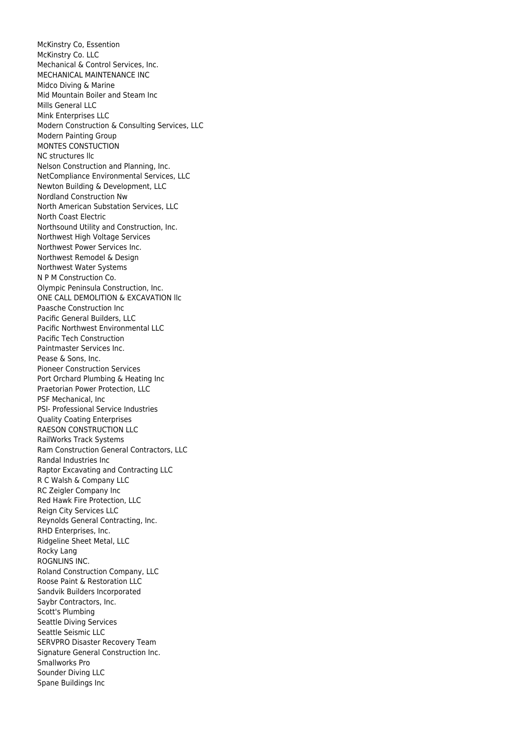McKinstry Co, Essention McKinstry Co. LLC Mechanical & Control Services, Inc. MECHANICAL MAINTENANCE INC Midco Diving & Marine Mid Mountain Boiler and Steam Inc Mills General LLC Mink Enterprises LLC Modern Construction & Consulting Services, LLC Modern Painting Group MONTES CONSTUCTION NC structures llc Nelson Construction and Planning, Inc. NetCompliance Environmental Services, LLC Newton Building & Development, LLC Nordland Construction Nw North American Substation Services, LLC North Coast Electric Northsound Utility and Construction, Inc. Northwest High Voltage Services Northwest Power Services Inc. Northwest Remodel & Design Northwest Water Systems N P M Construction Co. Olympic Peninsula Construction, Inc. ONE CALL DEMOLITION & EXCAVATION llc Paasche Construction Inc Pacific General Builders, LLC Pacific Northwest Environmental LLC Pacific Tech Construction Paintmaster Services Inc. Pease & Sons, Inc. Pioneer Construction Services Port Orchard Plumbing & Heating Inc Praetorian Power Protection, LLC PSF Mechanical, Inc PSI- Professional Service Industries Quality Coating Enterprises RAESON CONSTRUCTION LLC RailWorks Track Systems Ram Construction General Contractors, LLC Randal Industries Inc Raptor Excavating and Contracting LLC R C Walsh & Company LLC RC Zeigler Company Inc Red Hawk Fire Protection, LLC Reign City Services LLC Reynolds General Contracting, Inc. RHD Enterprises, Inc. Ridgeline Sheet Metal, LLC Rocky Lang ROGNLINS INC. Roland Construction Company, LLC Roose Paint & Restoration LLC Sandvik Builders Incorporated Saybr Contractors, Inc. Scott's Plumbing Seattle Diving Services Seattle Seismic LLC SERVPRO Disaster Recovery Team Signature General Construction Inc. Smallworks Pro Sounder Diving LLC Spane Buildings Inc